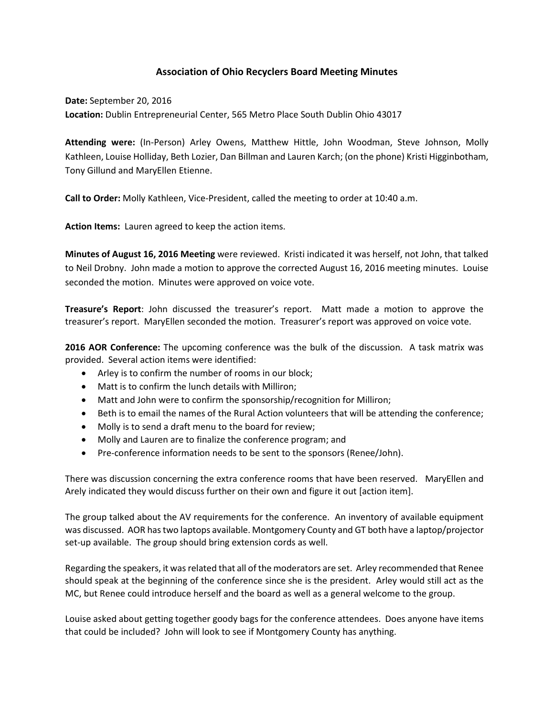## **Association of Ohio Recyclers Board Meeting Minutes**

**Date:** September 20, 2016 **Location:** Dublin Entrepreneurial Center, 565 Metro Place South Dublin Ohio 43017

**Attending were:** (In-Person) Arley Owens, Matthew Hittle, John Woodman, Steve Johnson, Molly Kathleen, Louise Holliday, Beth Lozier, Dan Billman and Lauren Karch; (on the phone) Kristi Higginbotham, Tony Gillund and MaryEllen Etienne.

**Call to Order:** Molly Kathleen, Vice-President, called the meeting to order at 10:40 a.m.

**Action Items:** Lauren agreed to keep the action items.

**Minutes of August 16, 2016 Meeting** were reviewed. Kristi indicated it was herself, not John, that talked to Neil Drobny. John made a motion to approve the corrected August 16, 2016 meeting minutes. Louise seconded the motion. Minutes were approved on voice vote.

**Treasure's Report**: John discussed the treasurer's report. Matt made a motion to approve the treasurer's report. MaryEllen seconded the motion. Treasurer's report was approved on voice vote.

**2016 AOR Conference:** The upcoming conference was the bulk of the discussion. A task matrix was provided. Several action items were identified:

- Arley is to confirm the number of rooms in our block;
- Matt is to confirm the lunch details with Milliron;
- Matt and John were to confirm the sponsorship/recognition for Milliron;
- Beth is to email the names of the Rural Action volunteers that will be attending the conference;
- Molly is to send a draft menu to the board for review;
- Molly and Lauren are to finalize the conference program; and
- Pre-conference information needs to be sent to the sponsors (Renee/John).

There was discussion concerning the extra conference rooms that have been reserved. MaryEllen and Arely indicated they would discuss further on their own and figure it out [action item].

The group talked about the AV requirements for the conference. An inventory of available equipment was discussed. AOR has two laptops available. Montgomery County and GT both have a laptop/projector set-up available. The group should bring extension cords as well.

Regarding the speakers, it was related that all of the moderators are set. Arley recommended that Renee should speak at the beginning of the conference since she is the president. Arley would still act as the MC, but Renee could introduce herself and the board as well as a general welcome to the group.

Louise asked about getting together goody bags for the conference attendees. Does anyone have items that could be included? John will look to see if Montgomery County has anything.